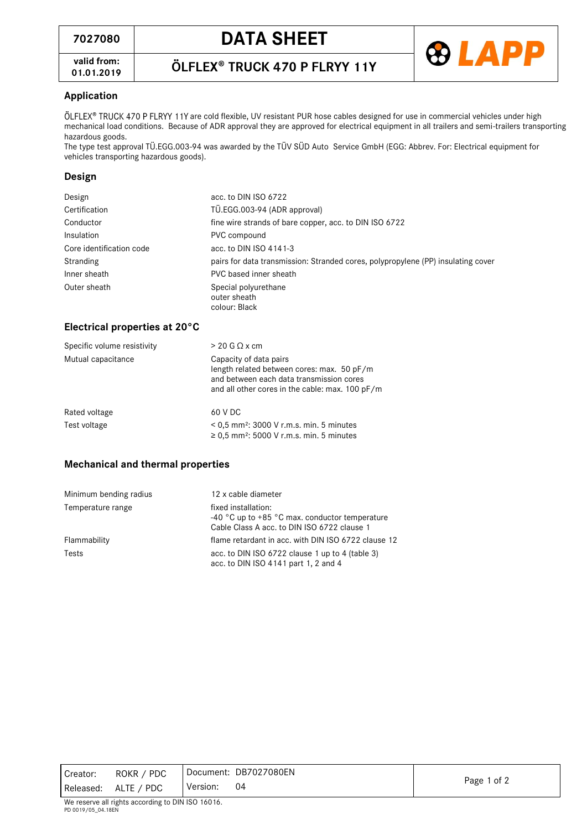

**valid from: 01.01.2019**

# ÖLFLEX® TRUCK 470 P FLRYY 11Y

# **Application**

ÖLFLEX® TRUCK 470 P FLRYY 11Y are cold flexible, UV resistant PUR hose cables designed for use in commercial vehicles under high mechanical load conditions. Because of ADR approval they are approved for electrical equipment in all trailers and semi-trailers transporting hazardous goods.

The type test approval TÜ.EGG.003-94 was awarded by the TÜV SÜD Auto Service GmbH (EGG: Abbrev. For: Electrical equipment for vehicles transporting hazardous goods).

### **Design**

| Design                   | acc. to DIN ISO 6722                                                             |  |
|--------------------------|----------------------------------------------------------------------------------|--|
| Certification            | TÜ.EGG.003-94 (ADR approval)                                                     |  |
| Conductor                | fine wire strands of bare copper, acc. to DIN ISO 6722                           |  |
| Insulation               | PVC compound                                                                     |  |
| Core identification code | acc. to DIN ISO 4141-3                                                           |  |
| Stranding                | pairs for data transmission: Stranded cores, polypropylene (PP) insulating cover |  |
| Inner sheath             | PVC based inner sheath                                                           |  |
| Outer sheath             | Special polyurethane<br>outer sheath<br>colour: Black                            |  |

#### **Electrical properties at 20°C**

| Specific volume resistivity | $> 20$ G $\Omega$ x cm                                                                                                                                              |  |
|-----------------------------|---------------------------------------------------------------------------------------------------------------------------------------------------------------------|--|
| Mutual capacitance          | Capacity of data pairs<br>length related between cores: max. 50 pF/m<br>and between each data transmission cores<br>and all other cores in the cable: max. 100 pF/m |  |
| Rated voltage               | 60 V DC                                                                                                                                                             |  |
| Test voltage                | $< 0.5$ mm <sup>2</sup> ; 3000 V r.m.s. min. 5 minutes<br>$\geq$ 0.5 mm <sup>2</sup> : 5000 V r.m.s. min. 5 minutes                                                 |  |

# **Mechanical and thermal properties**

| Minimum bending radius | 12 x cable diameter                                                                                                                      |  |
|------------------------|------------------------------------------------------------------------------------------------------------------------------------------|--|
| Temperature range      | fixed installation:<br>-40 $^{\circ}$ C up to +85 $^{\circ}$ C max. conductor temperature<br>Cable Class A acc. to DIN ISO 6722 clause 1 |  |
| Flammability           | flame retardant in acc. with DIN ISO 6722 clause 12                                                                                      |  |
| Tests                  | acc. to DIN ISO $6722$ clause 1 up to 4 (table 3)<br>acc. to DIN ISO 4141 part 1, 2 and 4                                                |  |